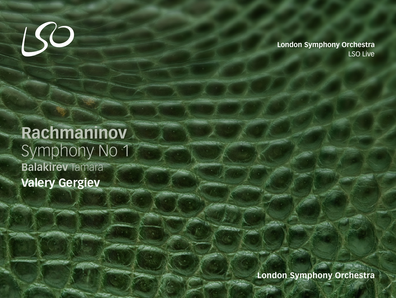

LSO Live **London Symphony Orchestra**

# **Rachmaninov** Symphony No 1 **Balakirev** Tamara **Valery Gergiev**

**London Symphony Orchestra**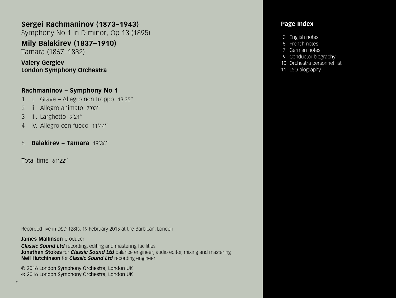# **Sergei Rachmaninov (1873–1943)**

Symphony No 1 in D minor, Op 13 (1895)

# **Mily Balakirev (1837–1910)**

Tamara (1867–1882)

# **Valery Gergiev London Symphony Orchestra**

# **Rachmaninov – Symphony No 1**

- 1 i. Grave Allegro non troppo 13'35''
- 2 ii. Allegro animato 7'03''
- 3 iii. Larghetto 9'24''
- 4 iv. Allegro con fuoco 11'44''
- 5 **Balakirev Tamara** 19'36''

Total time 61'22''

Recorded live in DSD 128fs, 19 February 2015 at the Barbican, London

**James Mallinson** producer *Classic Sound Ltd* recording, editing and mastering facilities **Jonathan Stokes** for *Classic Sound Ltd* balance engineer, audio editor, mixing and mastering **Neil Hutchinson** for *Classic Sound Ltd* recording engineer

© 2016 London Symphony Orchestra, London UK <sup>P</sup> 2016 London Symphony Orchestra, London UK

## **Page Index**

- 3 English notes
- 5 French notes
- 7 German notes
- 9 Conductor biography
- 10 Orchestra personnel list
- 11 LSO biography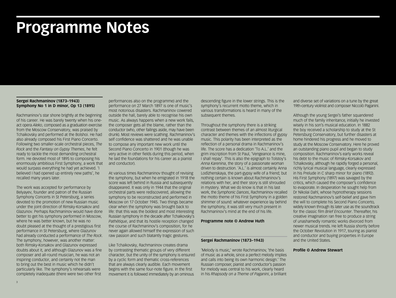# **Programme Notes**

#### **Sergei Rachmaninov (1873–1943) Symphony No 1 in D minor, Op 13 (1895)**

Rachmaninov's star shone brightly at the beginning of his career. He was barely twenty when his oneact opera *Aleko*, composed as a graduation exercise from the Moscow Conservatory, was praised by Tchaikovsky and performed at the Bolshoi. He had also already composed his First Piano Concerto. Following two smaller-scale orchestral pieces, *The Rock* and the *Fantasy on Gypsy Themes*, he felt ready to tackle the most demanding orchestral form. He devoted most of 1895 to composing his enormously ambitious First Symphony, a work that would surpass everything he had yet achieved. 'I believed I had opened up entirely new paths', he recalled many years later.

The work was accepted for performance by Belyayev, founder and patron of the Russian Symphony Concerts in St Petersburg, a series devoted to the promotion of new Russian music under the joint direction of Rimsky-Korsakov and Glazunov. Perhaps Rachmaninov would have done better to get his symphony performed in Moscow, where he was better known, but he was no doubt pleased at the thought of a prestigious first performance in St Petersburg, where Glazunov had already conducted a performance of *The Rock*. The symphony, however, was another matter: both Rimsky-Korsakov and Glazunov expressed doubts about it, and although Glazunov was a fine composer and all-round musician, he was not an inspiring conductor, and certainly not the man to bring out the best in music which he didn't particularly like. The symphony's rehearsals were completely inadequate (there were two other first

performances also on the programme) and the performance on 27 March 1897 is one of music's most notorious disasters. Rachmaninov cowered outside the hall, barely able to recognise his own music. As always happens when a new work fails, the composer gets all the blame, rather than the conductor (who, other failings aside, may have been drunk). Most reviews were scathing. Rachmaninov's self confidence was shattered and he was unable to compose any important new work until the Second Piano Concerto in 1901 (though he was very active in other fields during this period, when he laid the foundations for his career as a pianist and conductor).

At various times Rachmaninov thought of revising the symphony, but when he emigrated in 1918 the score was left behind in Russia and subsequently disappeared. It was only in 1944 that the original orchestral parts were rediscovered, allowing the symphony to be reconstructed and performed in Moscow on 17 October 1945. Two things became clear when the symphony was brought back to life: that this was the boldest and most interesting Russian symphony in the decade after Tchaikovsky's *Pathétique*, and that its hostile reception changed the course of Rachmaninov's composition, for he never again allowed himself the expression of such raw passion and such blatantly tragic gestures.

Like Tchaikovsky, Rachmaninov creates drama by contrasting thematic groups of very different character, but the unity of the symphony is ensured by a cyclic form and thematic cross-references that are always clearly audible. Each movement begins with the same four-note figure. In the first movement it is followed immediately by an ominous

descending figure in the lower strings. This is the symphony's recurrent motto theme, which in various transformations is heard in many of the subsequent themes.

Throughout the symphony there is a striking contrast between themes of an almost liturgical character and themes with the inflections of gypsy music. This polarity has been interpreted as the reflection of a personal drama in Rachmaninov's life. The score has a dedication 'To A.L.' and the grim inscription from St Paul, 'Vengeance is mine, I shall repay'. This is also the epigraph to Tolstoy's *Anna Karenina*, the story of a passionate woman driven to destruction. 'A.L.' is almost certainly Anna Lodïzhenskaya, the part-gypsy wife of a friend; but nothing certain is known about Rachmaninov's relations with her, and their story is still shrouded in mystery. What we do know is that in his last work, the *Symphonic Dances*, Rachmaninov recalled the motto theme of his First Symphony in a golden shimmer of sound: whatever experience lay behind the symphony, it was still very much present in Rachmaninov's mind at the end of his life.

#### **Programme note © Andrew Huth**

#### **Sergei Rachmaninov (1873–1943)**

'Melody is music,' wrote Rachmaninov, 'the basis of music as a whole, since a perfect melody implies and calls into being its own harmonic design.' The Russian composer, pianist and conductor's passion for melody was central to his work, clearly heard in his *Rhapsody on a Theme of Paganini*, a brilliant

and diverse set of variations on a tune by the great 19th-century violinist and composer Niccolò Paganini.

Although the young Sergei's father squandered much of the family inheritance, initially he invested wisely in his son's musical education. In 1882 the boy received a scholarship to study at the St Petersburg Conservatory, but further disasters at home hindered his progress and he moved to study at the Moscow Conservatory. Here he proved an outstanding piano pupil and began to study composition. Rachmaninov's early works reveal his debt to the music of Rimsky-Korsakov and Tchaikovsky, although he rapidly forged a personal, richly lyrical musical language, clearly expressed in his Prelude in C sharp minor for piano (1892). His First Symphony (1897) was savaged by the critics, which caused the composer's confidence to evaporate. In desperation he sought help from Dr Nikolai Dahl, whose hypnotherapy sessions restored Rachmaninov's self-belief and gave him the will to complete his Second Piano Concerto, widely known through its later use as the soundtrack for the classic film *Brief Encounter*. Thereafter, his creative imagination ran free to produce a string of unashamedly romantic works divorced from newer musical trends. He left Russia shortly before the October Revolution in 1917, touring as pianist and conductor and buying properties in Europe and the United States.

#### **Profile © Andrew Stewart**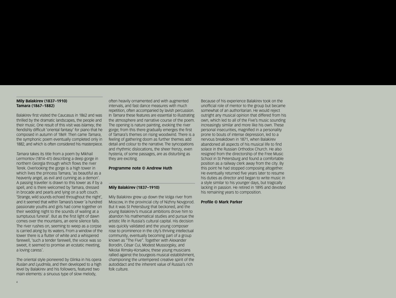#### **Mily Balakirev (1837–1910) Tamara (1867–1882)**

Balakirev first visited the Caucasus in 1862 and was thrilled by the dramatic landscapes, the people and their music. One result of this visit was *Islamey*, the fiendishly difficult 'oriental fantasy' for piano that he composed in autumn of 1869. Then came *Tamara*, the symphonic poem eventually completed only in 1882, and which is often considered his masterpiece.

*Tamara* takes its title from a poem by Mikhail Lermontov (1814–41) describing a deep gorge in northern Georgia through which flows the river Terek. Overlooking the gorge is a high tower in which lives the princess Tamara, 'as beautiful as a heavenly angel, as evil and cunning as a demon'. A passing traveller is drawn to this tower as if by a spell, and is there welcomed by Tamara, dressed in brocade and pearls and lying on a soft couch. 'Strange, wild sounds echoed throughout the night', and it seemed that within Tamara's tower 'a hundred passionate youths and girls had come together on their wedding night to the sounds of wailing at a sumptuous funeral'. But as the first light of dawn comes over the mountains, an eerie silence falls. The river rushes on, seeming to weep as a corpse is carried along by its waters. From a window of the tower there is a flutter of white and a whispered farewell, 'such a tender farewell, the voice was so sweet, it seemed to promise an ecstatic meeting, a loving caress'.

The oriental style pioneered by Glinka in his opera *Ruslan and Lyudmila*, and then developed to a high level by Balakirev and his followers, featured two main elements: a sinuous type of slow melody,

often heavily ornamented and with augmented intervals, and fast dance measures with much repetition, often accompanied by lavish percussion. In *Tamara* these features are essential to illustrating the atmosphere and narrative course of the poem. The opening is nature painting, evoking the river gorge; from this there gradually emerges the first of Tamara's themes on rising woodwind. There is a feeling of gathering doom as further themes add detail and colour to the narrative. The syncopations and rhythmic dislocations, the sheer frenzy, even hysteria, of some passages, are as disturbing as they are exciting.

#### **Programme note © Andrew Huth**

#### **Mily Balakirev (1837–1910)**

Mily Balakirev grew up down the Volga river from Moscow, in the provincial city of Nizhny Novgorod. But it was St Petersburg that beckoned, and the young Balakirev's musical ambitions drove him to abandon his mathematical studies and pursue the artistic life in Russia's cultural capital. His decision was quickly validated and the young composer rose to prominence in the city's thriving intellectual community, eventually becoming part of a group known as "The Five". Together with Alexander Borodin, César Cui, Modest Mussorgsky, and Nikolai Rimsky-Korsakov, these young musicians rallied against the bourgeois musical establishment, championing the untempered creative spirit of the autodidact and the inherent value of Russia's rich folk culture.

Because of his experience Balakirev took on the unofficial role of mentor to the group but became somewhat of an authoritarian. He would reject outright any musical opinion that differed from his own, which led to all of the Five's music sounding increasingly similar and more like his own. These personal insecurities, magnified in a personality prone to bouts of intense depression, led to a nervous breakdown in 1871, when Balakirev abandoned all aspects of his musical life to find solace in the Russian Orthodox Church. He also resigned from the directorship of the Free Music School in St Petersburg and found a comfortable position as a railway clerk away from the city. By this point he had stopped composing altogether. He eventually returned five years later to resume his duties as director and began to write music in a style similar to his younger days, but tragically lacking in passion. He retired in 1895 and devoted his remaining years to composition.

#### **Profile © Mark Parker**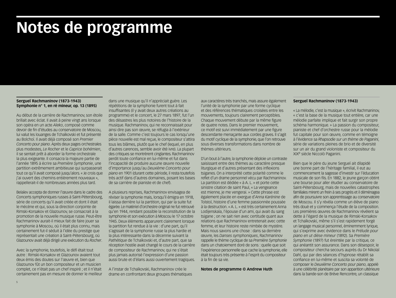# **Notes de programme**

#### **Sergueï Rachmaninov (1873-1943) Symphonie n° 1, en ré mineur, op. 13 (1895)**

Au début de la carrière de Rachmaninov, son étoile brillait avec éclat. Il avait à peine vingt ans lorsque son opéra en un acte *Aleko*, composé comme devoir de fin d'études au conservatoire de Moscou, lui valut les louanges de Tchaïkovski et fut présenté au Bolchoï. Il avait déjà composé son *Premier Concerto pour piano*. Après deux pages orchestrales plus modestes, *Le Rocher* et le *Caprice bohémien*, il se sentait prêt à aborder la forme orchestrale la plus exigeante. Il consacra la majeure partie de l'année 1895 à écrire sa *Première Symphonie*, une partition extrêmement ambitieuse qui surpasserait tout ce qu'il avait composé jusqu'alors. « Je crois que j'ai ouvert des chemins entièrement nouveaux », rappellerait-il de nombreuses années plus tard.

Belaïev accepta de donner l'œuvre dans le cadre des Concerts symphoniques russes à Saint-Pétersbourg, série de concerts qu'il avait créée et dont il était le mécène et qui, sous la direction conjointe de Rimski-Korsakov et Glazounov, se consacrait à la promotion de la nouvelle musique russe. Peut-être Rachmaninov aurait-il mieux fait de faire jouer sa symphonie à Moscou, où il était plus connu, mais certainement fut-il séduit à l'idée du prestige que représentait une création à Saint-Pétersbourg, où Glazounov avait déjà dirigé une exécution du *Rocher*.

Avec la symphonie, toutefois, le défi était tout autre : Rimski-Korsakov et Glazounov avaient tout deux émis des doutes sur l'œuvre et, bien que Glazounov fût un bon compositeur et un musicien complet, ce n'était pas un chef inspiré ; et il n'était certainement pas en mesure de donner le meilleur dans une musique qu'il n'appréciait guère. Les répétitions de la symphonie furent tout à fait insuffisantes (il y avait deux autres créations au programme) et le concert, le 27 mars 1897, fut l'un des désastres les plus notoires de l'histoire de la musique. Rachmaninov, qui ne reconnaissait pour ainsi dire pas son œuvre, se réfugia à l'extérieur de la salle. Comme c'est toujours le cas lorsqu'une pièce nouvelle est mal reçue, le compositeur s'attira tous les blâmes, plutôt que le chef (lequel, en plus d'autres carences, semble avoir été ivre). La plupart des critiques se montrèrent cinglantes. Rachmaninov perdit toute confiance en lui-même et fut dans l'incapacité de produire aucune œuvre nouvelle d'importance jusqu'au *Deuxième Concerto pour piano* en 1901 (durant cette période, il resta toutefois très actif dans d'autres domaines, posant les bases de sa carrière de pianiste et de chef).

A plusieurs reprises, Rachmaninov envisagea de réviser la symphonie mais, lorsqu'il émigra en 1918, il laissa derrière lui la partition, qui par la suite fut égarée. Le matériel d'orchestre original ne fut retrouvé qu'en 1944, rendant possible la reconstitution de la symphonie et son exécution à Moscou le 17 octobre 1945. Deux éléments apparurent clairement lorsque la partition fut rendue à la vie : d'une part, qu'il s'agissait de la symphonie russe la plus hardie et la plus intéressante dans la décennie suivant la *Pathétique* de Tchaïkovski et, d'autre part, que sa réception hostile avait changé le cours de la carrière de compositeur de Rachmaninov, qui ne s'était plus jamais autorisé l'expression d'une passion aussi brute et d'élans aussi ouvertement tragiques.

A l'instar de Tchaïkovski, Rachmaninov crée le drame en confrontant deux groupes thématiques aux caractères très tranchés, mais assure également l'unité de la symphonie par une forme cyclique et des références thématiques croisées entre les mouvements, toujours clairement perceptibles. Chaque mouvement débute par la même figure de quatre notes. Dans le premier mouvement, ce motif est suivi immédiatement par une figure descendante menaçante aux cordes graves. Il s'agit du motif cyclique de la symphonie, que l'on retrouve sous diverses transformations dans nombre de thèmes ultérieurs.

D'un bout à l'autre, la symphonie déploie un contraste saisissant entre des thèmes au caractère presque liturgique et d'autres présentant des inflexions tsiganes. On a interprété cette polarité comme le reflet d'un drame personnel vécu par Rachmaninov. La partition est dédiée « à A. L. » et porte cette sinistre citation de saint Paul, « La vengeance est mienne, je me vengerai. » Cette phrase est également placée en exergue d'*Anna Karénine* de Tolstoï, histoire d'une femme passionnée poussée à la destruction. « A. L. » est très certainement Anna Lodijenskaïa, l'épouse d'un ami, qui avait du sang tsigane ; on ne sait rien avec certitude quant aux relations que Rachmaninov entretenait avec cette femme, et leur histoire reste nimbée de mystère. Mais nous savons une chose : dans sa dernière œuvre, les *Danses symphoniques*, Rachmaninov rappelle le thème cyclique de sa *Première Symphonie* dans un chatoiement doré de sons : quelle que soit l'expérience personnelle que cache la symphonie, elle était toujours très présente à l'esprit du compositeur à la fin de sa vie.

#### **Notes de programme © Andrew Huth**

#### **Sergueï Rachmaninov (1873-1943)**

« La mélodie, c'est la musique », écrivit Rachmaninov, « c'est la base de la musique tout entière, car une mélodie parfaite implique et fait surgir son propre schéma harmonique. » La passion du compositeur, pianiste et chef d'orchestre russe pour la mélodie fut capitale pour son œuvre, comme en témoigne à l'évidence sa *Rhapsodie sur un thème de Paganini*, série de variations pleines de brio et de diversité sur un air du grand violoniste et compositeur du XIXe siècle Niccolò Paganini.

Bien que le père du jeune Sergueï ait dilapidé une bonne part de l'héritage familial, il eut au commencement la sagesse d'investir sur l'éducation musicale de son fils. En 1882, le jeune garçon obtint une bourse pour aller étudier au conservatoire de Saint-Pétersbourg, mais de nouvelles catastrophes familiales mirent un frein à ses progrès et il déménagea afin de poursuivre son apprentissage au conservatoire de Moscou. Il s'y révéla comme un élève de piano très doué et y commença l'étude de la composition. Les premières œuvres de Rachmaninov révèlent sa dette à l'égard de la musique de Rimski-Korsakov et Tchaïkovski, même s'il s'est rapidement forgé un langage musical personnel, éminemment lyrique, qui s'exprime avec évidence dans le *Prélude pour piano en ut dièse mineur* (1892). Sa *Première Symphonie* (1897) fut éreintée par la critique, ce qui anéantit son assurance. Dans son désespoir, le compositeur chercha secours auprès du Dr Nikolaï Dahl, qui par des séances d'hypnose rétablit sa confiance en lui-même et suscita sa volonté de composer le *Deuxième Concerto pour piano*, appelé à une célébrité planétaire par son apparition ultérieure dans la bande-son de Brève Rencontre, un classique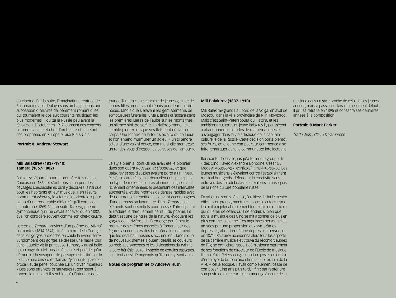du cinéma. Par la suite, l'imagination créatrice de Rachmaninov se déploya sans ambages dans une succession d'œuvres délibérément romantiques, qui tournaient le dos aux courants musicaux les plus modernes. Il quitta la Russie peu avant la révolution d'Octobre en 1917, donnant des concerts comme pianiste et chef d'orchestre et achetant des propriétés en Europe et aux Etats-Unis.

#### **Portrait © Andrew Stewart**

#### **Mili Balakirev (1837-1910) Tamara (1867-1882)**

Balakirev séjourna pour la première fois dans le Caucase en 1862 et s'enthousiasma pour les paysages spectaculaires qu'il y découvrit, ainsi que pour les habitants et leur musique. Il en résulta notamment *Islamey*, la « fantaisie orientale » pour piano d'une redoutable difficulté qu'il composa en automne 1869. Vint ensuite *Tamara*, poème symphonique qu'il ne devait achever qu'en 1882, que l'on considère souvent comme son chef-d'œuvre.

Le titre de *Tamara* provient d'un poème de Mikhaïl Lermontov (1814-1841) situé au nord de la Géorgie, dans les gorges profondes où coule la rivière Terek. Surplombant ces gorges se dresse une haute tour, dans laquelle vit la princesse Tamara, « aussi belle qu'un ange du ciel, aussi méchante et perfide qu'un démon ». Un voyageur de passage est attiré par la tour, comme ensorcelé. Tamara l'y accueille, parée de brocart et de perle, couchée sur un divan moelleux. « Des sons étranges et sauvages retentissent à travers la nuit », et il semble qu'à l'intérieur de la

tour de Tamara « une centaine de jeunes gens et de jeunes filles ardents sont réunis pour leur nuit de noces, tandis que s'élèvent les gémissements de somptueuses funérailles ». Mais, tandis qu'apparaissent les premières lueurs de l'aube sur les montagnes, un silence sinistre se fait. La rivière gronde ; elle semble pleurer lorsque ses flots font dériver un corps. Une fenêtre de la tour s'éclaire d'une lueur, et l'on entend murmurer un adieu, « un si tendre adieu, d'une voix si douce, comme si elle promettait un rendez-vous d'extase, les caresses de l'amour ».

Le style oriental dont Glinka avait été le pionnier dans son opéra *Rousslan et Lioudmila*, et que Balakirev et ses disciples avaient porté à un niveau élevé, se caractérise par deux éléments principaux : un type de mélodies lentes et sinueuses, souvent richement ornementées et présentant des intervalles augmentés, et des rythmes de danses rapides avec de nombreuses répétitions, souvent accompagnés d'une percussion luxuriante. Dans *Tamara*, ces éléments sont essentiels pour brosser l'atmosphère et traduire le déroulement narratif du poème. Le début est une peinture de la nature, évoquant les gorges de la rivière ; de là émerge peu à peu le premier des thèmes associés à Tamara, sur des figures ascendantes des bois. On a le sentiment que les destins funestes s'accumulent, tandis que de nouveaux thèmes ajoutent détails et couleurs au récit. Les syncopes et les dislocations du rythme, la pure frénésie, voire l'hystérie de certains passages, sont tout aussi dérangeants qu'ils sont galvanisants.

**Notes de programme © Andrew Huth**

#### **Mili Balakirev (1837-1910)**

Mili Balakirev grandit au bord de la Volga, en aval de Moscou, dans la ville provinciale de Nijni Novgorod. Mais c'est Saint-Pétersbourg qui l'attira, et les ambitions musicales du jeune Balakirev l'y poussèrent à abandonner ses études de mathématiques et à s'engager dans la vie artistique de la capitale culturelle de la Russie. Cette décision porta bientôt ses fruits, et le jeune compositeur commença à se faire remarquer dans la communauté intellectuelle

florissante de la ville, jusqu'à former le groupe dit « des Cinq » avec Alexandre Borodine, César Cui, Modest Moussorgski et Nikolaï Rimski-Korsakov. Ces jeunes musiciens s'élevaient contre l'establishment musical bourgeois, défendant la créativité sans entraves des autodidactes et les valeurs intrinsèques de la riche culture populaire russe.

En raison de son expérience, Balakirev devint le mentor officieux du groupe, montrant un certain autoritarisme. Il se mit à rejeter abruptement toute opinion musicale qui différait de celles qu'il défendait, si bien que toute la musique des Cinq se mit à sonner de plus en plus comme la sienne. Ces angoisses personnelles, attisées par une propension aux symptômes dépressifs, aboutirent à une dépression nerveuse en 1871 ; Balakirev abandonna alors tous les aspects de sa carrière musicale et trouva du réconfort auprès de l'Eglise orthodoxe russe. Il démissionna également de ses fonctions de directeur de l'Ecole de musique libre de Saint-Pétersbourg et obtint un poste confortable d'employé de bureau aux chemins de fer, loin de la ville. A cette époque, il avait complètement cessé de composer. Cinq ans plus tard, il finit par reprendre son poste de directeur. Il recommença à écrire de la

musique dans un style proche de celui de ses jeunes années, mais la passion lui faisait cruellement défaut. Il prit sa retraite en 1895 et consacra ses dernières années à la composition.

#### **Portrait © Mark Parker**

*Traduction : Claire Delamarche*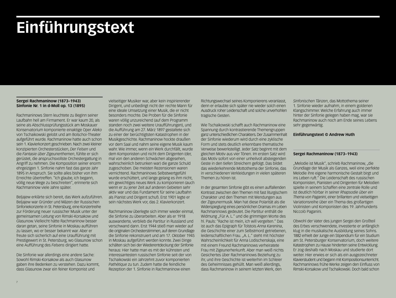# **Einführungstext**

#### **Sergei Rachmaninow (1873–1943) Sinfonie Nr. 1 in d-Moll op. 13 (1895)**

Rachmaninows Stern leuchtete zu Beginn seiner Laufbahn hell am Firmament. Er war kaum 20, als seine als Abschlussprüfungsstück am Moskauer Konservatorium komponierte einaktige Oper *Aleko* von Tschaikowski gelobt und am Bolschoi-Theater aufgeführt wurde. Rachmaninow hatte auch schon sein 1. Klavierkonzert geschrieben. Nach zwei kleiner konzipierten Orchesterstücken, *Der Felsen* und die *Fantasie über Zigeunerthemen*, fühlte er sich gerüstet, die anspruchsvollste Orchestergattung in Angriff zu nehmen. Die Komposition seiner enorm ehrgeizigen 1. Sinfonie nahm fast das ganze Jahr 1895 in Anspruch. Sie sollte alles bisher von ihm Erreichte übertreffen. "Ich glaube, ich begann, völlig neue Wege zu beschreiten", erinnerte sich Rachmaninow viele Jahre später.

Beljajew erklärte sich bereit, das Werk aufzuführen. Beljajew war Gründer und Mäzen der Russischen Sinfoniekonzerte in St. Petersburg, eine Konzertreihe zur Förderung neuer russischer Musik unter der gemeinsamen Leitung von Rimski-Korsakow und Glasunow. Vielleicht hätte Rachmaninow besser daran getan, seine Sinfonie in Moskau aufführen zu lassen, wo er besser bekannt war. Aber er freute sich sicherlich auf eine Uraufführung mit Prestigewert in St. Petersburg, wo Glasunow schon eine Aufführung des *Felsens* dirigiert hatte.

Die Sinfonie war allerdings eine andere Sache: Sowohl Rimski-Korsakow als auch Glasunow gaben ihre Bedenken zu verstehen. Dazu kommt, dass Glasunow zwar ein feiner Komponist und

vielseitiger Musiker war, aber kein inspirierender Dirigent, und unbedingt nicht der rechte Mann für eine ideale Umsetzung einer Musik, die er nicht besonders mochte. Die Proben für die Sinfonie waren völlig unzureichend (auf dem Programm standen noch zwei weitere Uraufführungen), und die Aufführung am 27. März 1897 gestaltete sich zu einer der berüchtigtsten Katastrophen in der Musikgeschichte. Rachmaninow hockte draußen vor dem Saal und nahm seine eigene Musik kaum wahr. Wie immer, wenn ein Werk durchfällt, wurde dem Komponisten und nicht dem Dirigenten (der, mal von den anderen Schwächen abgesehen, wahrscheinlich betrunken war) die ganze Schuld zugeschoben. Die meisten Rezensionen waren vernichtend. Rachmaninows Selbstwertgefühl wurde erschüttert, und lange gelang es ihm nicht, ein gewichtiges neues Werk zu komponieren (auch wenn er zu jener Zeit auf anderen Gebieten sehr aktiv war und das Fundament für seine Laufbahn als Pianist und Dirigent schuf). Erst 1901 legte er sein nächstes Werk vor, das 2. Klavierkonzert.

Rachmaninow überlegte sich immer wieder einmal, die Sinfonie zu überarbeiten. Aber als er 1918 auswanderte, verblieb die Partitur in Russland und verschwand dann. Erst 1944 stieß man wieder auf die originalen Orchesterstimmen, auf deren Grundlage die Sinfonie rekonstruiert und am 17. Oktober 1945 in Moskau aufgeführt werden konnte. Zwei Dinge schälten sich bei der Wiederentdeckung der Sinfonie heraus: Hier hatte man es mit der kühnsten und interessantesten russischen Sinfonie seit der von Tschaikowski ein Jahrzehnt zuvor komponierten *Pathétique* zu tun. Zudem hatte die feindliche Rezeption der 1. Sinfonie in Rachmaninow einen

Richtungswechsel seines Komponierens veranlasst, denn er erlaubte sich später nie wieder solch einen Ausdruck roher Leidenschaft und solche unverhohlen tragische Gesten.

Wie Tschaikowski schafft auch Rachmaninow eine Spannung durch kontrastierende Themengruppen ganz unterschiedlichen Charakters. Der Zusammenhalt der Sinfonie wiederum wird durch eine zyklische Form und stets deutlich erkennbare thematische Verweise bewerkstelligt. Jeder Satz beginnt mit dem gleichen Motiv aus vier Tönen. Im ersten Satz wird das Motiv sofort von einer unheilvoll absteigenden Geste in den tiefen Streichern gefolgt. Das bildet das wiederkehrende Mottothema der Sinfonie, das in verschiedenen Verkleidungen in vielen späteren Themen zu hören ist.

In der gesamten Sinfonie gibt es einen auffallenden Kontrast zwischen den Themen mit fast liturgischem Charakter und den Themen mit Wendungen aus der Zigeunermusik. Man hat diese Polarität als die Widerspieglung eines persönlichen Dramas im Leben Rachmaninows gedeutet. Die Partitur enthält die Widmung "Für A. L." und die grimmigen Worte des hl. Pauls: "Rache ist mein, ich will vergelten." Das ist auch das Epigraph für Tolstois *Anna Karenina*, die Geschichte einer zum Selbstmord getriebenen, leidenschaftlichen Frau. "A. L." steht mit höchster Wahrscheinlichkeit für Anna Lodischenskaja, eine mit einem Freund Rachmaninows verheiratete Frau mit Zigeunerherkunft. Aber man weiß nichts Gesichertes über Rachmaninows Beziehung zu ihr, und ihre Geschichte ist weiterhin im Schleier des Geheimnisses gehüllt. Man weiß allerdings, dass Rachmaninow in seinem letzten Werk, den

*Sinfonischen Tänzen*, das Mottothema seiner 1. Sinfonie wieder aufnahm, in einem goldenen Klangschimmer. Welche Erfahrung auch immer hinter der Sinfonie gelegen haben mag, war sie Rachmaninow auch noch am Ende seines Lebens sehr gegenwärtig.

#### **Einführungstext © Andrew Huth**

#### **Sergei Rachmaninow (1873–1943)**

"Melodie ist Musik", schrieb Rachmaninow, "die Grundlage der Musik als Ganzes, weil eine perfekte Melodie ihre eigene harmonische Gestalt birgt und ins Leben ruft." Die Leidenschaft des russischen Komponisten, Pianisten und Dirigenten für Melodien spielte in seinem Schaffen eine zentrale Rolle und ist deutlich hörbar in seiner *Rhapsodie über ein Thema von Paganini*, einer brillanten und vielseitigen Variationsreihe über ein Thema des großartigen Violinisten und Komponisten des 19. Jahrhunderts Niccolò Paganini.

Obwohl der Vater des jungen Sergei den Großteil des Erbes verschwendete, investierte er anfänglich klug in die musikalische Ausbildung seines Sohns. 1882 erhielt der Junge ein Stipendium für ein Studium am St. Petersburger Konservatorium, doch weitere Katastrophen zu Hause hinderten seine Entwicklung. Er zog deshalb nach Moskau und studierte dort weiter. Hier erwies er sich als ein ausgezeichneter Klavierstudent und begann mit Kompositionsunterricht. Rachmaninows frühe Werke zeigen den Einfluss von Rimski-Korsakow und Tschaikowski. Doch bald schon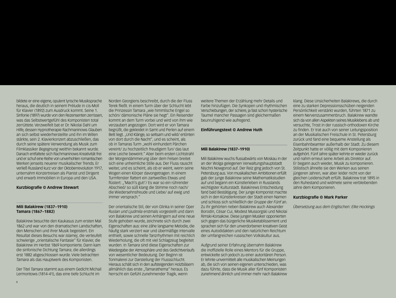bildete er eine eigene, opulent lyrische Musiksprache heraus, die deutlich in seinem Prélude in cis-Moll für Klavier (1892) zum Ausdruck kommt. Seine 1. Sinfonie (1897) wurde von den Rezensenten zerrissen, was das Selbstwertgefühl des Komponisten total zerrüttete. Verzweifelt bat er Dr. Nikolai Dahl um Hilfe, dessen Hypnotherapie Rachmaninows Glauben an sich selbst wiederherstellte und ihn im Willen stärkte, sein 2. Klavierkonzert abzuschließen, das durch seine spätere Verwendung als Musik zum Filmklassiker *Begegnung* weithin bekannt wurde. Danach entfaltete sich Rachmaninows Kreativität frei und er schuf eine Reihe von unverhohlen romantischen Werken jenseits neuerer musikalischer Trends. Er verließ Russland kurz vor der Oktoberrevolution 1917, unternahm Konzertreisen als Pianist und Dirigent und erwarb Immobilien in Europa und den USA.

#### **Kurzbiografie © Andrew Stewart**

#### **Mili Balakirew (1837–1910) Tamara (1867–1882)**

Balakirew besuchte den Kaukasus zum ersten Mal 1862 und war von den dramatischen Landschaften, den Menschen und ihrer Musik begeistert. Ein Resultat dieses Besuchs war *Islamej*, die verteufelt schwierige "orientalische Fantasie" für Klavier, die Balakirew im Herbst 1869 komponierte. Dann kam die sinfonische Dichtung *Tamara*, die allerdings erst 1882 abgeschlossen wurde. Viele betrachten *Tamara* als das Hauptwerk des Komponisten.

Der Titel *Tamara* stammt aus einem Gedicht Michail Lermontows (1814-41), das eine tiefe Schlucht im

Norden Georgiens beschreibt, durch die der Fluss Terek fließt. In einem Turm über der Schlucht lebt die Prinzessin Tamara "wie himmlische Engel so schön/ dämonische Pläne sie hegt". Ein Reisender kommt an dem Turm vorbei und wird von ihm wie verzaubert angezogen. Dort wird er von Tamara begrüßt, die gekleidet in Samt und Perlen auf einem Bett liegt. "Und Klänge, so seltsam und wild/ ertönten von dort durch die Nacht", und es scheint, als ob in Tamaras Turm "wohl einhundert Pärchen vereint/ zu hochzeitlich freudigem Tun/ das laut eine Leiche beweint." Aber beim ersten Lichtstrahl der Morgendämmerung über dem Felsen breitet sich eine unheimliche Stille aus. Der Fluss rauscht weiter, und es scheint, als ob er weint, wenn seine Wogen einen Körper davongetragen. In einem Turmfenster flattert ein zartweißes Etwas und flüstert: "'Mach's gut!'/ Es war so ein rührender Abschied/ so süß klang die Stimme noch nach/ die Wiedersehnsfreude und Liebe/ auf ewig und immer versprach."

Der orientalische Stil, der von Glinka in seiner Oper *Ruslan und Ljudmila* erstmals vorgestellt und dann von Balakirew und seinen Anhängern auf eine neue Stufe gehoben wurde, zeichnete sich durch zwei Eigenschaften aus: eine zähe langsame Melodie, die häufig stark verziert war und übermäßige Intervalle enthielt, sowie schnelle Tanzrhythmen mit reichlich Wiederholung, die oft mit viel Schlagzeug begleitet wurden. In *Tamara* sind diese Eigenschaften zur Wiedergabe der Atmosphäre und des Gedichtverlaufs von wesentlicher Bedeutung. Der Beginn ist Tonmalerei zur Darstellung der Flussschlucht. Hieraus schält sich in den aufsteigenden Holzbläsern allmählich das erste "Tamarathema" heraus. Es herrscht ein Gefühl zunehmender Tragik, wenn

weitere Themen der Erzählung mehr Details und Farbe hinzufügen. Die Synkopen und rhythmischen Verschiebungen, der schiere, ja fast schon hysterische Taumel mancher Passagen sind gleichermaßen beunruhigend wie aufregend.

#### **Einführungstext © Andrew Huth**

#### **Mili Balakirew (1837–1910)**

Mili Balakirew wuchs flussabwärts von Moskau in der an der Wolga gelegenen Verwaltungshauptstadt Nischni Nowgorod auf. Der Reiz ging jedoch von St. Petersburg aus. Von musikalischen Ambitionen erfüllt gab der junge Balakirew seine Mathematikstudien auf und begann ein Künstlerleben in Russlands wichtigster Kulturstadt. Balakirews Entscheidung fand bald Bestätigung. Der junge Komponist machte sich in den Künstlerkreisen der Stadt einen Namen und schloss sich schließlich der *Gruppe der Fünf* an. Zu ihr gehörten neben Balakirew auch Alexander Borodin, César Cui, Modest Mussorgski und Nikolai Rimski-Korsakow. Diese jungen Musiker opponierten sich gegen das bürgerliche Musiketablissement und sprachen sich für den unverdorbenen kreativen Geist eines Autodidakten und den natürlichen Reichtum der umfangreichen russischen Volkskultur aus.

Aufgrund seiner Erfahrung übernahm Balakirew die inoffizielle Rolle eines Mentors für die Gruppe, entwickelte sich jedoch zu einer autoritären Person. Er lehnte unvermittelt alle musikalischen Meinungen ab, die sich von seinen eigenen unterschieden, was dazu führte, dass die Musik aller fünf Komponisten zunehmend ähnlich und immer mehr nach Balakirew klang. Diese Unsicherheiten Balakirews, die durch eine zu starken Depressionsschüben neigenden Persönlichkeit verstärkt wurden, führten 1871 zu einem Nervenzusammenbruch. Balakirew wandte sich da von allen Aspekten seines Musiklebens ab und versuchte, Trost in der russisch-orthodoxen Kirche zu finden. Er trat auch von seiner Leitungsposition an der Musikalischen Freischule in St. Petersburg zurück und fand eine bequeme Anstellung als Eisenbahnbeamter außerhalb der Stadt. Zu diesem Zeitpunkt hatte er völlig mit dem Komponieren aufgehört. Fünf Jahre später kehrte er wieder zurück und nahm erneut seine Arbeit als Direktor auf. Er begann auch wieder, Musik zu komponieren. Stilistisch ähnelte sie den Werken aus seinen jüngeren Jahren, war aber leider nicht von der gleichen Leidenschaft erfüllt. Balakirew trat 1895 in den Ruhestand und widmete seine verbleibenden Jahre dem Komponieren.

#### **Kurzbiografie © Mark Parker**

*Übersetzung aus dem Englischen: Elke Hockings*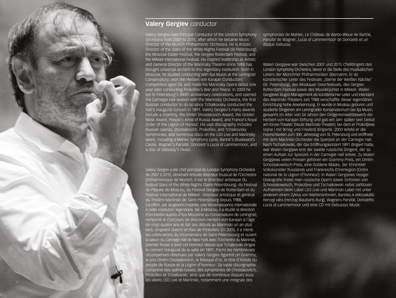# **Valery Gergiev** conductor

Valery Gergiev was Principal Conductor of the London Symphony Orchestra from 2007 to 2015, after which he became Music Director of the Munich Philharmonic Orchestra. He is Artistic Director of the Stars of the White Nights Festival (St Petersburg), the Moscow Easter Festival, the Gergiev Rotterdam Festival, and the Mikkeli International Festival. His inspired leadership as Artistic and General Director of the Mariinsky Theatre since 1988 has brought universal acclaim to this legendary institution. Born in Moscow, he studied conducting with Ilya Musin at the Leningrad Conservatory, won the Herbert von Karajan Conductors' Competition aged 24, and made his Mariinsky Opera debut one year later conducting Prokofiev's *War and Peace*. In 2003 he led St Petersburg's 300th anniversary celebrations, and opened the Carnegie Hall season with the Mariinsky Orchestra, the first Russian conductor to do so since Tchaikovsky conducted the Hall's inaugural concert in 1891. Valery Gergiev's many awards include a Grammy, the Dmitri Shostakovich Award, the Golden Mask Award, People's Artist of Russia Award, and France's Royal Order of the Legion of Honour. His vast discography includes Russian operas, Shostakovich, Prokofiev, and Tchaikovsky Symphonies, and numerous discs on the LSO Live and Mariinsky labels, including a Mahler Symphony cycle, Bartok's *Bluebeard's Castle*, Wagner's *Parsifal*, Donizetti's *Lucia di Lammermoor*, and a disc of Debussy's music.

Valery Gergiev a été chef principal du London Symphony Orchestra de 2007 à 2015, devenant ensuite directeur musical de l'Orchestre philharmonique de Munich. Il est le directeur artistique du festival Stars of the White Nights (Saint-Pétersbourg), du Festival de Pâques de Moscou, du Festival Gergiev de Rotterdam et du Festival international de Mikkeli. Directeur artistique et général du Théâtre Mariinski de Saint-Pétersbourg depuis 1988, il a offert, par sa gestion inspirée, une reconnaissance internationale à cette institution légendaire. Né à Moscou, il a étudié la direction d'orchestre auprès d'Ilya Moussine au Conservatoire de Leningrad, remporté le Concours de direction Herbert-von-Karajan à l'âge de vingt-quatre ans et fait ses débuts au Mariinski un an plus tard, dirigeant *Guerre et Paix* de Prokofiev. En 2003, il a mené les célébrations du tricentenaire de Saint-Pétersbourg et ouvert la saison du Carnegie Hall de New York avec l'Orchestre du Mariinski, premier Russe à avoir cet honneur depuis que Tchaïkovski dirigea le concert inaugural de la salle en 1891. Parmi les nombreuses récompenses obtenues par Valery Gergiev figurent un Grammy, le prix Dmitri-Chostakovitch, le Masque d'or, le titre d'Artiste du peuple de Russie et la Légion d'honneur. Sa vaste discographie comprend des opéras russes, des symphonies de Chostakovitch, Prokofiev et Tchaïkovski, ainsi que de nombreux disques sous les labels LSO Live et Mariinski, notamment une intégrale des

9

symphonies de Mahler, *Le Château de Barbe-Bleue* de Bartók, *Parsifal* de Wagner, *Lucia di Lammermoor* de Donizetti et un disque Debussy.

Waleri Gergijew war zwischen 2007 und 2015 Chefdirigent des London Symphony Orchestra, bevor er die Stelle des musikalischen Leiters der Münchner Philharmoniker übernahm. Er ist künstlerischer Leiter des Festivals "Sterne der Weißen Nächte" (St. Petersburg), des Moskauer Osterfestivals, des Gergiev Rotterdam Festival sowie des Musiikkijuhlat in Mikkeli. Waleri Gergijews kluges Management als künstlerischer Leiter und Intendant des Mariinski-Theaters seit 1988 verschaffte dieser legendären Einrichtung hohe Anerkennung. Er wurde in Moskau geboren und studierte Dirigieren am Leningrader Konservatorium bei Ilja Musin, gewannt im Alter von 24 Jahren den Dirigentenwettbewerb der Herbert-von-Karajan-Stiftung und gab ein Jahr später sein Debüt am Kirow-Theater (heute Mariinski-Theater), bei dem er Prokofjews *Vojna i mir* [Krieg und Frieden] dirigierte. 2003 leitete er die Feierlichkeiten zum 300. Jahrestag von St. Petersburg und eröffnete mit dem Mariinski-Orchester die Spielzeit an der Carnegie Hall. Nach Tschaikowski, der das Eröffnungskonzert 1891 dirigiert hatte, war Waleri Gergijew erst der zweite russische Dirigent, der so einen Auftakt zur Spielzeit in der Carnegie Hall leitete. Zu Waleri Gergijews vielen Preisen gehören ein Grammy-Preis, ein Dmitri-Schostakowitsch-Preis, eine Goldene Maske, der Ehrentitel Volkskünstler Russlands und Frankreichs Ehrenlegion [Ordre national de la Légion d'honneur]. In Waleri Gergijews riesiger Diskografie findet man russische Opern sowie Sinfonien von Schostakowitsch, Prokofjew und Tschaikowski nebst zahllosen Aufnahmen beim Label LSO Live und Mariinski-Label mit unter anderem einem Zyklus von Mahlersinfonien, Bartóks *A kékszakállú herceg vára* [Herzog Blaubarts Burg], Wagners *Parsifal*, Donizettis *Lucia di Lammermoor* und eine CD mit Debussys Musik.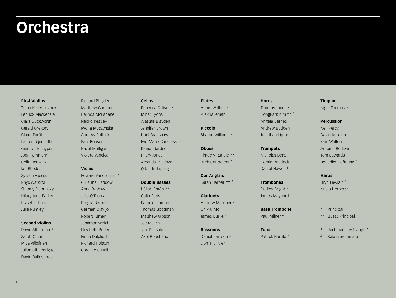# **Orchestra**

#### **First Violins**

Tomo Keller LEADER Lennox Mackenzie Clare Duckworth Gerald Gregory Claire Parfitt Laurent Quénelle Ginette Decuyper Jörg Hammann Colin Renwick Ian Rhodes Sylvain Vasseur Rhys Watkins Shlomy Dobrinsky Hilary Jane Parker Erzsebet Racz Julia Rumley

#### **Second Violins**

David Alberman \* Sarah Quinn Miya Väisänen Julian Gil Rodriguez David Ballesteros

## Richard Blayden Matthew Gardner Belinda McFarlane Naoko Keatley Iwona Muszynska Andrew Pollock Paul Robson Hazel Mulligan Violeta Vancica

### **Violas**

Edward Vanderspar \* Gillianne Haddow Anna Bastow Julia O'Riordan Regina Beukes German Clavijo Robert Turner Jonathan Welch Elizabeth Butler Fiona Dalgliesh Richard Holttum Caroline O'Neill

#### **Cellos**

Rebecca Gilliver \* Minat Lyons Alastair Blayden Jennifer Brown Noel Bradshaw Eve-Marie Caravassilis Daniel Gardner Hilary Jones Amanda Truelove Orlando Jopling

#### **Double Basses**

Håkan Ehrén \*\* Colin Paris Patrick Laurence Thomas Goodman Matthew Gibson Joe Melvin Jani Pensola Axel Bouchaux

## **Flutes**

Adam Walker \* Alex Jakeman

**Piccolo** Sharon Williams \*

# **Oboes** Timothy Rundle \*\*

Ruth Contractor <sup>1</sup>

**Cor Anglais** Sarah Harper \*\* <sup>2</sup>

## **Clarinets**

Andrew Marriner \* Chi-Yu Mo James Burke <sup>2</sup>

## **Bassoons** Daniel Jemison \* Dominic Tyler

### **Horns**

Timothy Jones \* HongPark Kim \*\* <sup>1</sup> Angela Barnes Andrew Budden Jonathan Lipton

### **Trumpets**

Nicholas Betts \*\* Gerald Ruddock Daniel Newell <sup>1</sup>

## **Trombones** Dudley Bright \* James Maynard

**Bass Trombone** Paul Milner \*

**Tuba** Patrick Harrild \*

### **Timpani**

Nigel Thomas \*

### **Percussion**

Neil Percy \* David Jackson Sam Walton Antoine Bedewi Tom Edwards Benedict Hoffnung <sup>2</sup>

## **Harps**

Bryn Lewis \* <sup>2</sup> Nuala Herbert <sup>2</sup>

- Principal
- \*\* Guest Principal
- <sup>1</sup> Rachmaninov Symph 1
- <sup>2</sup> Balakirev Tamara